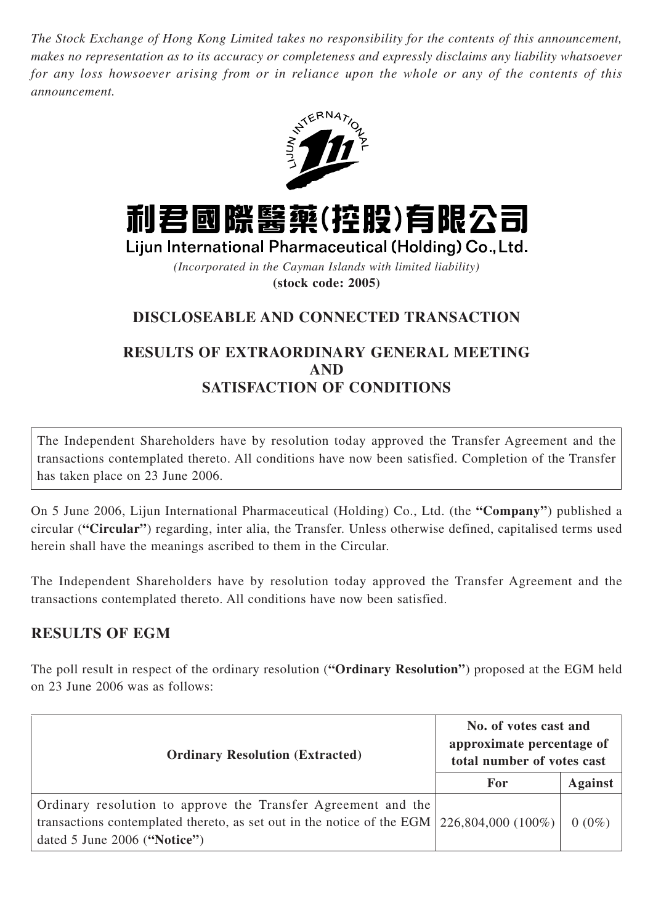*The Stock Exchange of Hong Kong Limited takes no responsibility for the contents of this announcement, makes no representation as to its accuracy or completeness and expressly disclaims any liability whatsoever for any loss howsoever arising from or in reliance upon the whole or any of the contents of this announcement.*





*(Incorporated in the Cayman Islands with limited liability)* **(stock code: 2005)**

# **DISCLOSEABLE AND CONNECTED TRANSACTION**

### **RESULTS OF EXTRAORDINARY GENERAL MEETING AND SATISFACTION OF CONDITIONS**

The Independent Shareholders have by resolution today approved the Transfer Agreement and the transactions contemplated thereto. All conditions have now been satisfied. Completion of the Transfer has taken place on 23 June 2006.

On 5 June 2006, Lijun International Pharmaceutical (Holding) Co., Ltd. (the **"Company"**) published a circular (**"Circular"**) regarding, inter alia, the Transfer. Unless otherwise defined, capitalised terms used herein shall have the meanings ascribed to them in the Circular.

The Independent Shareholders have by resolution today approved the Transfer Agreement and the transactions contemplated thereto. All conditions have now been satisfied.

### **RESULTS OF EGM**

The poll result in respect of the ordinary resolution (**"Ordinary Resolution"**) proposed at the EGM held on 23 June 2006 was as follows:

| <b>Ordinary Resolution (Extracted)</b>                                                                                                                                                             | No. of votes cast and<br>approximate percentage of<br>total number of votes cast |                |
|----------------------------------------------------------------------------------------------------------------------------------------------------------------------------------------------------|----------------------------------------------------------------------------------|----------------|
|                                                                                                                                                                                                    | For                                                                              | <b>Against</b> |
| Ordinary resolution to approve the Transfer Agreement and the<br>transactions contemplated thereto, as set out in the notice of the EGM $\vert$ 226,804,000 (100%)<br>dated 5 June 2006 ("Notice") |                                                                                  | $0(0\%)$       |